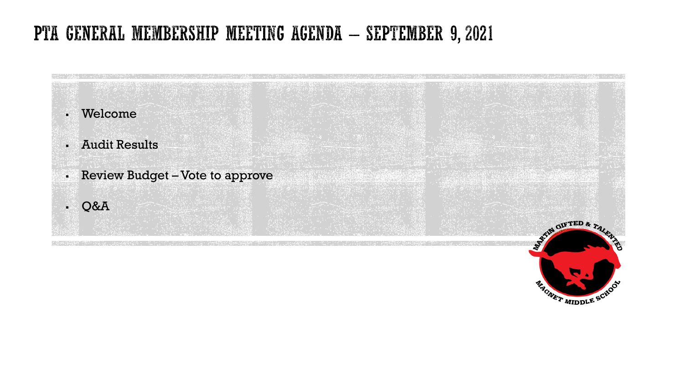# PTA GENERAL MEMBERSHIP MEETING AGENDA - SEPTEMBER 9, 2021



NAGNET MIDDLE SCHOOL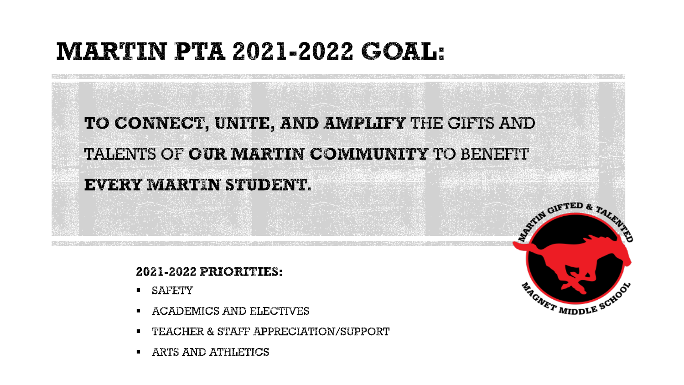# **MARTIN PTA 2021-2022 GOAL:**

TO CONNECT, UNITE, AND AMPLIFY THE GIFTS AND TALENTS OF **OUR MARTIN COMMUNITY** TO BENEFIT

## **EVERY MARTIN STUDENT.**

## 2021-2022 PRIORITIES:

- **SAFETY**
- **E ACADEMICS AND ELECTIVES**
- TEACHER & STAFF APPRECIATION/SUPPORT
- **E** ARTS AND ATHLETICS

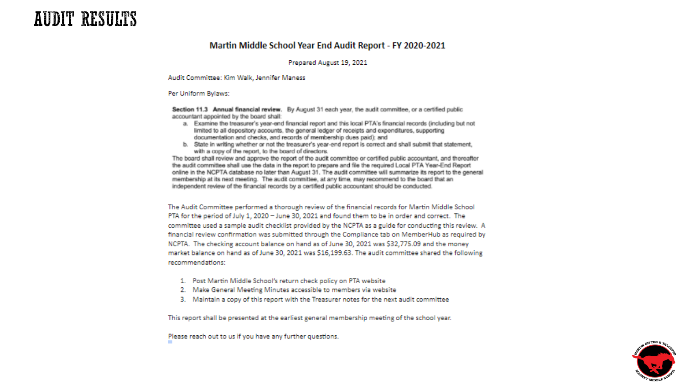# **AUDIT RESULTS**

#### Martin Middle School Year End Audit Report - FY 2020-2021

#### Prepared August 19, 2021

Audit Committee: Kim Walk, Jennifer Maness

#### Per Uniform Bylaws:

Section 11.3 Annual financial review. By August 31 each year, the audit committee, or a certified public accountant appointed by the board shall:

- a. Examine the treasurer's year-end financial report and this local PTA's financial records (including but not limited to all depository accounts, the general ledger of receipts and expenditures, supporting documentation and checks, and records of membership dues paid); and
- b. State in writing whether or not the treasurer's year-end report is correct and shall submit that statement. with a copy of the report, to the board of directors.

The board shall review and approve the report of the audit committee or certified public accountant, and thereafter the audit committee shall use the data in the report to prepare and file the required Local PTA Year-End Report online in the NCPTA database no later than August 31. The audit committee will summarize its report to the general membership at its next meeting. The audit committee, at any time, may recommend to the board that an independent review of the financial records by a certified public accountant should be conducted.

The Audit Committee performed a thorough review of the financial records for Martin Middle School PTA for the period of July 1, 2020 - June 30, 2021 and found them to be in order and correct. The committee used a sample audit checklist provided by the NCPTA as a guide for conducting this review. A financial review confirmation was submitted through the Compliance tab on MemberHub as required by NCPTA. The checking account balance on hand as of June 30, 2021 was \$32,775.09 and the money market balance on hand as of June 30, 2021 was \$16,199.63. The audit committee shared the following recommendations:

- 1. Post Martin Middle School's return check policy on PTA website
- 2. Make General Meeting Minutes accessible to members via website
- 3. Maintain a copy of this report with the Treasurer notes for the next audit committee

This report shall be presented at the earliest general membership meeting of the school year.

Please reach out to us if you have any further questions.

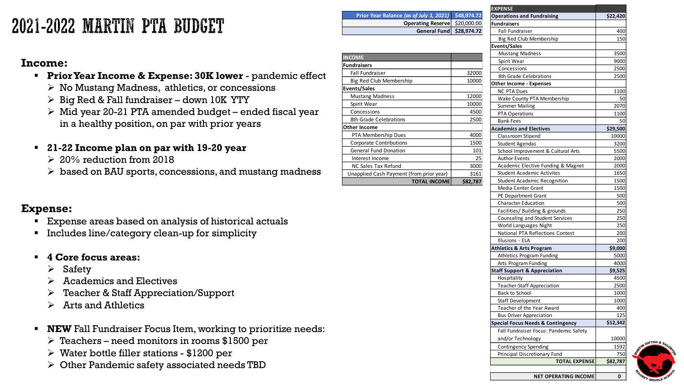# 2021-2022 MARTIN PTA BUDGET

## **Income:**

- **Prior Year Income & Expense: 30K lower**  pandemic effect
	- ➢ No Mustang Madness, athletics, or concessions
	- $\triangleright$  Big Red & Fall fundraiser down 10K YTY
	- $\triangleright$  Mid year 20-21 PTA amended budget ended fiscal year in a healthy position, on par with prior years
- **21-22 Income plan on par with 19-20 year**
	- $\geq 20\%$  reduction from 2018
	- $\triangleright$  based on BAU sports, concessions, and mustang madness

### **Expense:**

- Expense areas based on analysis of historical actuals
- Includes line/category clean-up for simplicity
- **4 Core focus areas:**
	- ➢ Safety
	- ➢ Academics and Electives
	- ➢ Teacher & Staff Appreciation/Support
	- ➢ Arts and Athletics
- **NEW** Fall Fundraiser Focus Item, working to prioritize needs:
	- ➢ Teachers need monitors in rooms \$1500 per
	- $\triangleright$  Water bottle filler stations \$1200 per
	- ➢ Other Pandemic safety associated needs TBD

|                                          | General Fund        | \$28,974.72 |
|------------------------------------------|---------------------|-------------|
|                                          |                     |             |
| <b>INCOME</b>                            |                     |             |
| <b>Fundraisers</b>                       |                     |             |
| Fall Fundraiser                          |                     | 32000       |
| Big Red Club Membership                  |                     | 10000       |
| <b>Events/Sales</b>                      |                     |             |
| <b>Mustang Madness</b>                   |                     | 12000       |
| Spirit Wear                              |                     | 10000       |
| Concessions                              |                     | 4500        |
| 8th Grade Celebrations                   |                     | 2500        |
| Other Income                             |                     |             |
| PTA Membership Dues                      |                     | 4000        |
| <b>Corporate Contributions</b>           |                     | 1500        |
| <b>General Fund Donation</b>             |                     | 101         |
| Interest Income                          |                     | 25          |
| <b>NC Sales Tax Refund</b>               |                     | 3000        |
| Unapplied Cash Payment (from prior year) |                     | 3161        |
|                                          | <b>TOTAL INCOME</b> | \$82,787    |

**Prior Year Balance** *(as of July 1, 2021)* **\$48,974.72**

**Operating Reserve** \$20,000.00

| <b>EXPENSE</b>                               |          |
|----------------------------------------------|----------|
| <b>Operations and Fundraising</b>            | \$22,420 |
| <b>Fundraisers</b>                           |          |
| Fall Fundraiser                              | 400      |
| Big Red Club Membership                      | 150      |
| <b>Events/Sales</b>                          |          |
| <b>Mustang Madness</b>                       | 3500     |
| Spirit Wear                                  | 9000     |
| Concessions                                  | 2500     |
| 8th Grade Celebrations                       | 2500     |
| Other Income - Expenses                      |          |
| <b>NC PTA Dues</b>                           | 1100     |
| Wake County PTA Membership                   | 50       |
| <b>Summer Mailing</b>                        | 2070     |
| <b>PTA Operations</b>                        | 1100     |
| <b>Bank Fees</b>                             | 50       |
| <b>Academics and Electives</b>               | \$29,500 |
| Classroom Stipend                            | 10000    |
| <b>Student Agendas</b>                       | 3200     |
| School Improvement & Cultural Arts           | 5500     |
| <b>Author Events</b>                         | 2000     |
| Academic Elective Funding & Magnet           | 2000     |
| <b>Student Academic Activites</b>            | 1650     |
| <b>Student Academic Recognition</b>          | 1500     |
| Media Center Grant                           | 1500     |
| PE Department Grant                          | 500      |
| <b>Character Education</b>                   | 500      |
| Facilities/ Building & grounds               | 250      |
| Counseling and Student Services              | 250      |
| World Languages Night                        | 250      |
| National PTA Reflections Contest             | 200      |
| Illusions - ELA                              | 200      |
| Athletics & Arts Program                     | \$9,000  |
| Athletics Program Funding                    | 5000     |
| Arts Program Funding                         | 4000     |
| <b>Staff Support &amp; Appreciation</b>      | \$9,525  |
| Hospitality                                  | 4500     |
| <b>Teacher-Staff Appreciation</b>            | 2500     |
| <b>Back to School</b>                        | 1000     |
| <b>Staff Development</b>                     | 1000     |
| Teacher of the Year Award                    | 400      |
| <b>Bus Driver Appreciation</b>               | 125      |
| <b>Special Focus Needs &amp; Contingency</b> | \$12,342 |
| Fall Fundraiser Focus: Pandemic Safety       |          |
| and/or Technology                            | 10000    |
|                                              |          |
| <b>Contingency Spending</b>                  | 1592     |
| Principal Discretionary Fund                 | 750      |
| <b>TOTAL EXPENSE</b>                         | \$82,787 |
| <b>NET OPERATING INCOME</b>                  | 0        |
|                                              |          |

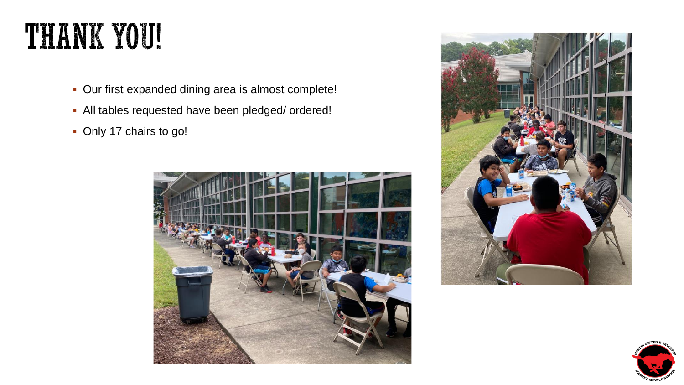# **THANK YOU!**

- Our first expanded dining area is almost complete!
- All tables requested have been pledged/ ordered!
- Only 17 chairs to go!